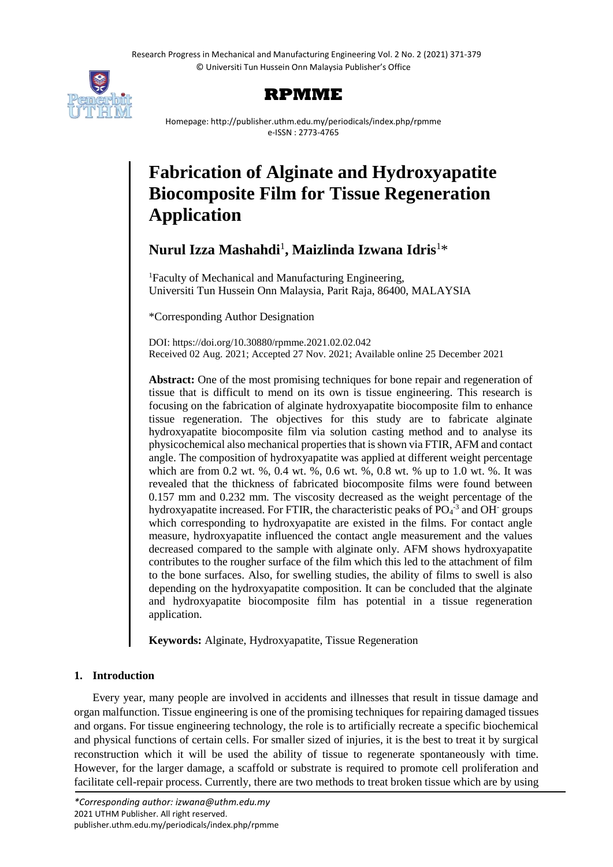

# **RPMME**

Homepage: http://publisher.uthm.edu.my/periodicals/index.php/rpmme e-ISSN : 2773-4765

# **Fabrication of Alginate and Hydroxyapatite Biocomposite Film for Tissue Regeneration Application**

# **Nurul Izza Mashahdi**<sup>1</sup> **, Maizlinda Izwana Idris**<sup>1</sup>\*

<sup>1</sup>Faculty of Mechanical and Manufacturing Engineering, Universiti Tun Hussein Onn Malaysia, Parit Raja, 86400, MALAYSIA

\*Corresponding Author Designation

DOI: https://doi.org/10.30880/rpmme.2021.02.02.042 Received 02 Aug. 2021; Accepted 27 Nov. 2021; Available online 25 December 2021

**Abstract:** One of the most promising techniques for bone repair and regeneration of tissue that is difficult to mend on its own is tissue engineering. This research is focusing on the fabrication of alginate hydroxyapatite biocomposite film to enhance tissue regeneration. The objectives for this study are to fabricate alginate hydroxyapatite biocomposite film via solution casting method and to analyse its physicochemical also mechanical properties that is shown via FTIR, AFM and contact angle. The composition of hydroxyapatite was applied at different weight percentage which are from 0.2 wt. %, 0.4 wt. %, 0.6 wt. %, 0.8 wt. % up to 1.0 wt. %. It was revealed that the thickness of fabricated biocomposite films were found between 0.157 mm and 0.232 mm. The viscosity decreased as the weight percentage of the hydroxyapatite increased. For FTIR, the characteristic peaks of  $PO<sub>4</sub><sup>-3</sup>$  and OH groups which corresponding to hydroxyapatite are existed in the films. For contact angle measure, hydroxyapatite influenced the contact angle measurement and the values decreased compared to the sample with alginate only. AFM shows hydroxyapatite contributes to the rougher surface of the film which this led to the attachment of film to the bone surfaces. Also, for swelling studies, the ability of films to swell is also depending on the hydroxyapatite composition. It can be concluded that the alginate and hydroxyapatite biocomposite film has potential in a tissue regeneration application.

**Keywords:** Alginate, Hydroxyapatite, Tissue Regeneration

# **1. Introduction**

Every year, many people are involved in accidents and illnesses that result in tissue damage and organ malfunction. Tissue engineering is one of the promising techniques for repairing damaged tissues and organs. For tissue engineering technology, the role is to artificially recreate a specific biochemical and physical functions of certain cells. For smaller sized of injuries, it is the best to treat it by surgical reconstruction which it will be used the ability of tissue to regenerate spontaneously with time. However, for the larger damage, a scaffold or substrate is required to promote cell proliferation and facilitate cell-repair process. Currently, there are two methods to treat broken tissue which are by using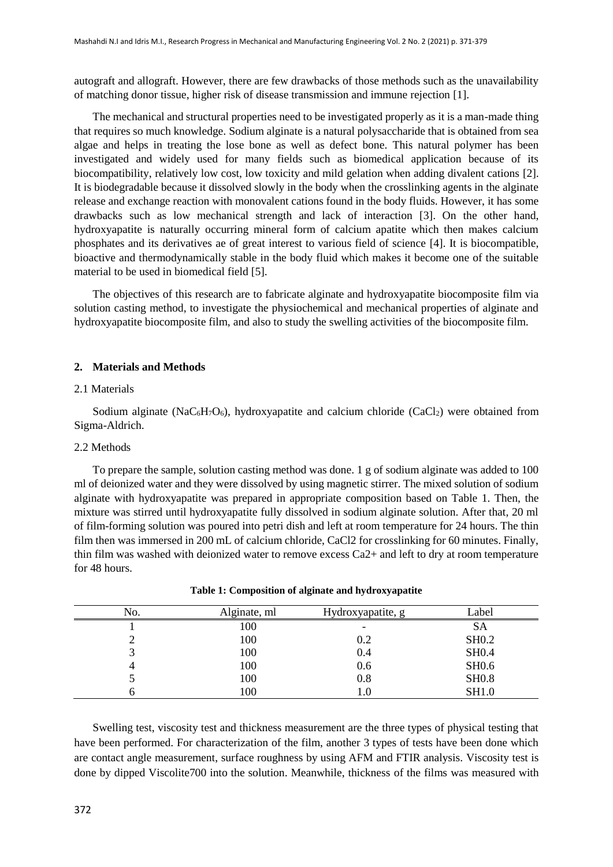autograft and allograft. However, there are few drawbacks of those methods such as the unavailability of matching donor tissue, higher risk of disease transmission and immune rejection [1].

The mechanical and structural properties need to be investigated properly as it is a man-made thing that requires so much knowledge. Sodium alginate is a natural polysaccharide that is obtained from sea algae and helps in treating the lose bone as well as defect bone. This natural polymer has been investigated and widely used for many fields such as biomedical application because of its biocompatibility, relatively low cost, low toxicity and mild gelation when adding divalent cations [2]. It is biodegradable because it dissolved slowly in the body when the crosslinking agents in the alginate release and exchange reaction with monovalent cations found in the body fluids. However, it has some drawbacks such as low mechanical strength and lack of interaction [3]. On the other hand, hydroxyapatite is naturally occurring mineral form of calcium apatite which then makes calcium phosphates and its derivatives ae of great interest to various field of science [4]. It is biocompatible, bioactive and thermodynamically stable in the body fluid which makes it become one of the suitable material to be used in biomedical field [5].

The objectives of this research are to fabricate alginate and hydroxyapatite biocomposite film via solution casting method, to investigate the physiochemical and mechanical properties of alginate and hydroxyapatite biocomposite film, and also to study the swelling activities of the biocomposite film.

#### **2. Materials and Methods**

#### 2.1 Materials

Sodium alginate (NaC<sub>6</sub>H<sub>7</sub>O<sub>6</sub>), hydroxyapatite and calcium chloride (CaCl<sub>2</sub>) were obtained from Sigma-Aldrich.

#### 2.2 Methods

To prepare the sample, solution casting method was done. 1 g of sodium alginate was added to 100 ml of deionized water and they were dissolved by using magnetic stirrer. The mixed solution of sodium alginate with hydroxyapatite was prepared in appropriate composition based on Table 1. Then, the mixture was stirred until hydroxyapatite fully dissolved in sodium alginate solution. After that, 20 ml of film-forming solution was poured into petri dish and left at room temperature for 24 hours. The thin film then was immersed in 200 mL of calcium chloride, CaCl2 for crosslinking for 60 minutes. Finally, thin film was washed with deionized water to remove excess Ca2+ and left to dry at room temperature for 48 hours.

| No. | Alginate, ml | Hydroxyapatite, g        | Label        |
|-----|--------------|--------------------------|--------------|
|     | 100          | $\overline{\phantom{0}}$ | <b>SA</b>    |
|     | 100          | 0.2                      | <b>SH0.2</b> |
|     | 100          | 0.4                      | <b>SH0.4</b> |
|     | 100          | 0.6                      | <b>SH0.6</b> |
|     | 100          | 0.8                      | <b>SH0.8</b> |
|     | 100          | 0.1                      | <b>SH1.0</b> |

| Table 1: Composition of alginate and hydroxyapatite |  |  |
|-----------------------------------------------------|--|--|
|                                                     |  |  |

Swelling test, viscosity test and thickness measurement are the three types of physical testing that have been performed. For characterization of the film, another 3 types of tests have been done which are contact angle measurement, surface roughness by using AFM and FTIR analysis. Viscosity test is done by dipped Viscolite700 into the solution. Meanwhile, thickness of the films was measured with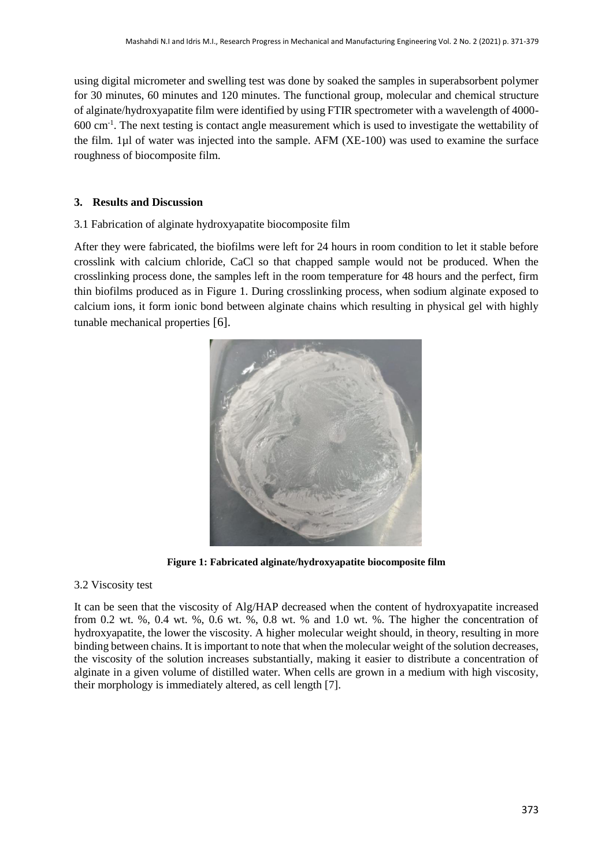using digital micrometer and swelling test was done by soaked the samples in superabsorbent polymer for 30 minutes, 60 minutes and 120 minutes. The functional group, molecular and chemical structure of alginate/hydroxyapatite film were identified by using FTIR spectrometer with a wavelength of 4000- 600 cm-1 . The next testing is contact angle measurement which is used to investigate the wettability of the film. 1µl of water was injected into the sample. AFM (XE-100) was used to examine the surface roughness of biocomposite film.

## **3. Results and Discussion**

### 3.1 Fabrication of alginate hydroxyapatite biocomposite film

After they were fabricated, the biofilms were left for 24 hours in room condition to let it stable before crosslink with calcium chloride, CaCl so that chapped sample would not be produced. When the crosslinking process done, the samples left in the room temperature for 48 hours and the perfect, firm thin biofilms produced as in Figure 1. During crosslinking process, when sodium alginate exposed to calcium ions, it form ionic bond between alginate chains which resulting in physical gel with highly tunable mechanical properties [6].



**Figure 1: Fabricated alginate/hydroxyapatite biocomposite film**

### 3.2 Viscosity test

It can be seen that the viscosity of Alg/HAP decreased when the content of hydroxyapatite increased from 0.2 wt. %, 0.4 wt. %, 0.6 wt. %, 0.8 wt. % and 1.0 wt. %. The higher the concentration of hydroxyapatite, the lower the viscosity. A higher molecular weight should, in theory, resulting in more binding between chains. It is important to note that when the molecular weight of the solution decreases, the viscosity of the solution increases substantially, making it easier to distribute a concentration of alginate in a given volume of distilled water. When cells are grown in a medium with high viscosity, their morphology is immediately altered, as cell length [7].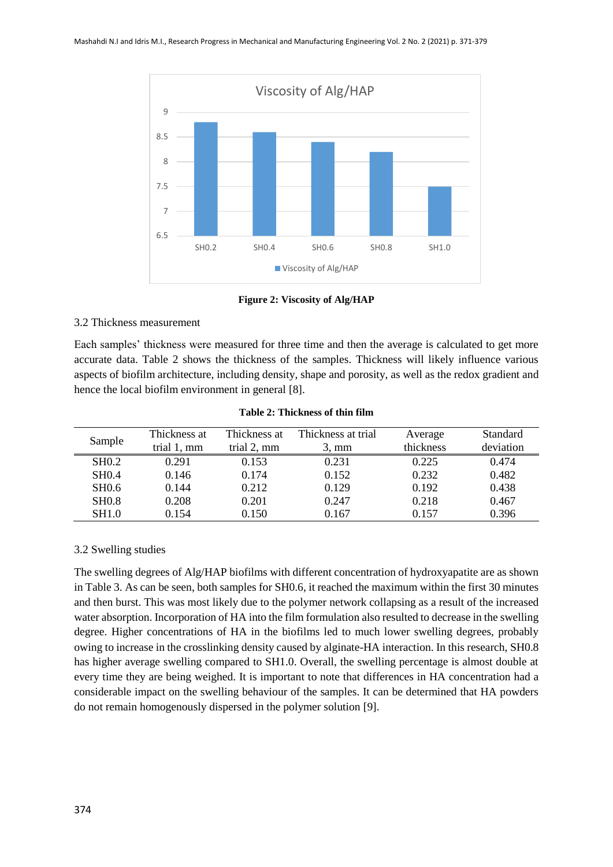

**Figure 2: Viscosity of Alg/HAP**

### 3.2 Thickness measurement

Each samples' thickness were measured for three time and then the average is calculated to get more accurate data. Table 2 shows the thickness of the samples. Thickness will likely influence various aspects of biofilm architecture, including density, shape and porosity, as well as the redox gradient and hence the local biofilm environment in general [8].

| Sample            | Thickness at | Thickness at | Thickness at trial | Average   | Standard  |
|-------------------|--------------|--------------|--------------------|-----------|-----------|
|                   | trial 1, mm  | trial 2, mm  | $3. \text{mm}$     | thickness | deviation |
| SH <sub>0.2</sub> | 0.291        | 0.153        | 0.231              | 0.225     | 0.474     |
| <b>SHO.4</b>      | 0.146        | 0.174        | 0.152              | 0.232     | 0.482     |
| <b>SH0.6</b>      | 0.144        | 0.212        | 0.129              | 0.192     | 0.438     |
| <b>SHO.8</b>      | 0.208        | 0.201        | 0.247              | 0.218     | 0.467     |
| <b>SH1.0</b>      | 0.154        | 0.150        | 0.167              | 0.157     | 0.396     |

**Table 2: Thickness of thin film**

# 3.2 Swelling studies

The swelling degrees of Alg/HAP biofilms with different concentration of hydroxyapatite are as shown in Table 3. As can be seen, both samples for SH0.6, it reached the maximum within the first 30 minutes and then burst. This was most likely due to the polymer network collapsing as a result of the increased water absorption. Incorporation of HA into the film formulation also resulted to decrease in the swelling degree. Higher concentrations of HA in the biofilms led to much lower swelling degrees, probably owing to increase in the crosslinking density caused by alginate-HA interaction. In this research, SH0.8 has higher average swelling compared to SH1.0. Overall, the swelling percentage is almost double at every time they are being weighed. It is important to note that differences in HA concentration had a considerable impact on the swelling behaviour of the samples. It can be determined that HA powders do not remain homogenously dispersed in the polymer solution [9].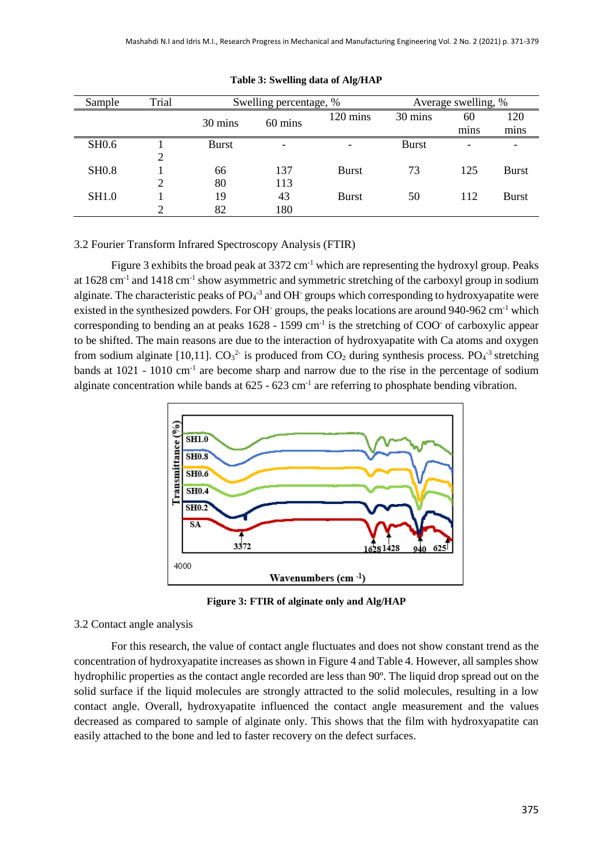| Sample       | Trial | Swelling percentage, % |         | Average swelling, %      |              |                          |              |
|--------------|-------|------------------------|---------|--------------------------|--------------|--------------------------|--------------|
|              |       | 30 mins                | 60 mins | 120 mins                 | 30 mins      | 60                       | 120          |
|              |       |                        |         |                          |              | mins                     | mins         |
| <b>SH0.6</b> |       | <b>Burst</b>           |         | $\overline{\phantom{0}}$ | <b>Burst</b> | $\overline{\phantom{0}}$ |              |
|              |       |                        |         |                          |              |                          |              |
| <b>SH0.8</b> |       | 66                     | 137     | <b>Burst</b>             | 73           | 125                      | <b>Burst</b> |
|              |       | 80                     | 113     |                          |              |                          |              |
| SH1.0        |       | 19                     | 43      | <b>Burst</b>             | 50           | 112                      | <b>Burst</b> |
|              |       | 82                     | 180     |                          |              |                          |              |

#### **Table 3: Swelling data of Alg/HAP**

3.2 Fourier Transform Infrared Spectroscopy Analysis (FTIR)

Figure 3 exhibits the broad peak at  $3372 \text{ cm}^{-1}$  which are representing the hydroxyl group. Peaks at 1628 cm<sup>-1</sup> and 1418 cm<sup>-1</sup> show asymmetric and symmetric stretching of the carboxyl group in sodium alginate. The characteristic peaks of  $PO<sub>4</sub><sup>-3</sup>$  and OH groups which corresponding to hydroxyapatite were existed in the synthesized powders. For OH<sup>-</sup> groups, the peaks locations are around 940-962 cm<sup>-1</sup> which corresponding to bending an at peaks  $1628 - 1599$  cm<sup>-1</sup> is the stretching of COO<sup>-</sup> of carboxylic appear to be shifted. The main reasons are due to the interaction of hydroxyapatite with Ca atoms and oxygen from sodium alginate [10,11].  $CO_3^2$  is produced from  $CO_2$  during synthesis process.  $PO_4^{-3}$  stretching bands at 1021 - 1010 cm<sup>-1</sup> are become sharp and narrow due to the rise in the percentage of sodium alginate concentration while bands at  $625 - 623$  cm<sup>-1</sup> are referring to phosphate bending vibration.



**Figure 3: FTIR of alginate only and Alg/HAP**

#### 3.2 Contact angle analysis

For this research, the value of contact angle fluctuates and does not show constant trend as the concentration of hydroxyapatite increases as shown in Figure 4 and Table 4. However, all samples show hydrophilic properties as the contact angle recorded are less than 90º. The liquid drop spread out on the solid surface if the liquid molecules are strongly attracted to the solid molecules, resulting in a low contact angle. Overall, hydroxyapatite influenced the contact angle measurement and the values decreased as compared to sample of alginate only. This shows that the film with hydroxyapatite can easily attached to the bone and led to faster recovery on the defect surfaces.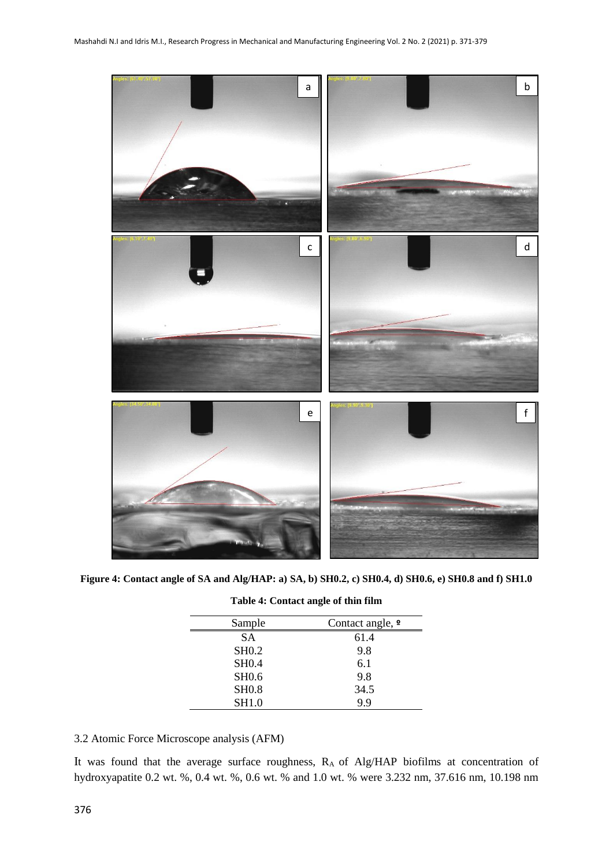

**Figure 4: Contact angle of SA and Alg/HAP: a) SA, b) SH0.2, c) SH0.4, d) SH0.6, e) SH0.8 and f) SH1.0**

| Sample       | Contact angle, $\Omega$ |
|--------------|-------------------------|
| <b>SA</b>    | 61.4                    |
| <b>SHO.2</b> | 9.8                     |
| <b>SH0.4</b> | 6.1                     |
| <b>SH0.6</b> | 9.8                     |
| <b>SH0.8</b> | 34.5                    |
| <b>SH1.0</b> | 9.9                     |

| Table 4: Contact angle of thin film |  |  |  |
|-------------------------------------|--|--|--|
|-------------------------------------|--|--|--|

3.2 Atomic Force Microscope analysis (AFM)

It was found that the average surface roughness, RA of Alg/HAP biofilms at concentration of hydroxyapatite 0.2 wt. %, 0.4 wt. %, 0.6 wt. % and 1.0 wt. % were 3.232 nm, 37.616 nm, 10.198 nm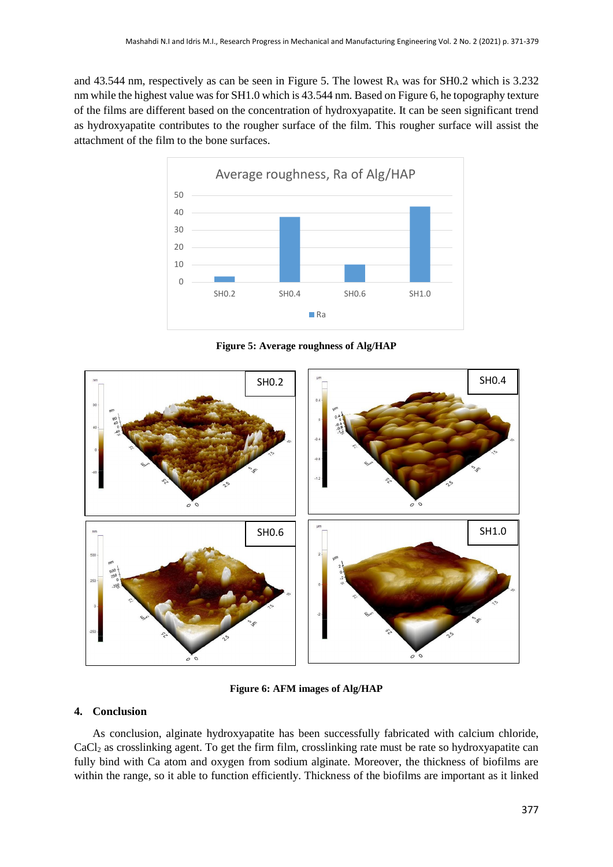and 43.544 nm, respectively as can be seen in Figure 5. The lowest R<sub>A</sub> was for SH0.2 which is 3.232 nm while the highest value was for SH1.0 which is 43.544 nm. Based on Figure 6, he topography texture of the films are different based on the concentration of hydroxyapatite. It can be seen significant trend as hydroxyapatite contributes to the rougher surface of the film. This rougher surface will assist the attachment of the film to the bone surfaces.



**Figure 5: Average roughness of Alg/HAP**



**Figure 6: AFM images of Alg/HAP**

### **4. Conclusion**

As conclusion, alginate hydroxyapatite has been successfully fabricated with calcium chloride, CaCl<sup>2</sup> as crosslinking agent. To get the firm film, crosslinking rate must be rate so hydroxyapatite can fully bind with Ca atom and oxygen from sodium alginate. Moreover, the thickness of biofilms are within the range, so it able to function efficiently. Thickness of the biofilms are important as it linked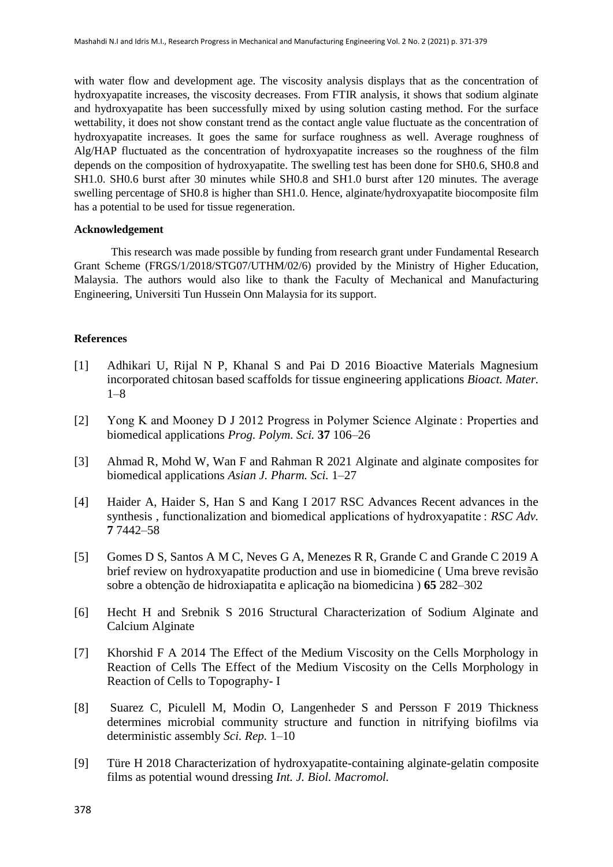with water flow and development age. The viscosity analysis displays that as the concentration of hydroxyapatite increases, the viscosity decreases. From FTIR analysis, it shows that sodium alginate and hydroxyapatite has been successfully mixed by using solution casting method. For the surface wettability, it does not show constant trend as the contact angle value fluctuate as the concentration of hydroxyapatite increases. It goes the same for surface roughness as well. Average roughness of Alg/HAP fluctuated as the concentration of hydroxyapatite increases so the roughness of the film depends on the composition of hydroxyapatite. The swelling test has been done for SH0.6, SH0.8 and SH1.0. SH0.6 burst after 30 minutes while SH0.8 and SH1.0 burst after 120 minutes. The average swelling percentage of SH0.8 is higher than SH1.0. Hence, alginate/hydroxyapatite biocomposite film has a potential to be used for tissue regeneration.

#### **Acknowledgement**

This research was made possible by funding from research grant under Fundamental Research Grant Scheme (FRGS/1/2018/STG07/UTHM/02/6) provided by the Ministry of Higher Education, Malaysia. The authors would also like to thank the Faculty of Mechanical and Manufacturing Engineering, Universiti Tun Hussein Onn Malaysia for its support.

#### **References**

- [1] Adhikari U, Rijal N P, Khanal S and Pai D 2016 Bioactive Materials Magnesium incorporated chitosan based scaffolds for tissue engineering applications *Bioact. Mater.* 1–8
- [2] Yong K and Mooney D J 2012 Progress in Polymer Science Alginate : Properties and biomedical applications *Prog. Polym. Sci.* **37** 106–26
- [3] Ahmad R, Mohd W, Wan F and Rahman R 2021 Alginate and alginate composites for biomedical applications *Asian J. Pharm. Sci.* 1–27
- [4] Haider A, Haider S, Han S and Kang I 2017 RSC Advances Recent advances in the synthesis, functionalization and biomedical applications of hydroxyapatite : *RSC Adv*. **7** 7442–58
- [5] Gomes D S, Santos A M C, Neves G A, Menezes R R, Grande C and Grande C 2019 A brief review on hydroxyapatite production and use in biomedicine ( Uma breve revisão sobre a obtenção de hidroxiapatita e aplicação na biomedicina ) **65** 282–302
- [6] Hecht H and Srebnik S 2016 Structural Characterization of Sodium Alginate and Calcium Alginate
- [7] Khorshid F A 2014 The Effect of the Medium Viscosity on the Cells Morphology in Reaction of Cells The Effect of the Medium Viscosity on the Cells Morphology in Reaction of Cells to Topography- I
- [8] Suarez C, Piculell M, Modin O, Langenheder S and Persson F 2019 Thickness determines microbial community structure and function in nitrifying biofilms via deterministic assembly *Sci. Rep.* 1–10
- [9] Türe H 2018 Characterization of hydroxyapatite-containing alginate-gelatin composite films as potential wound dressing *Int. J. Biol. Macromol.*